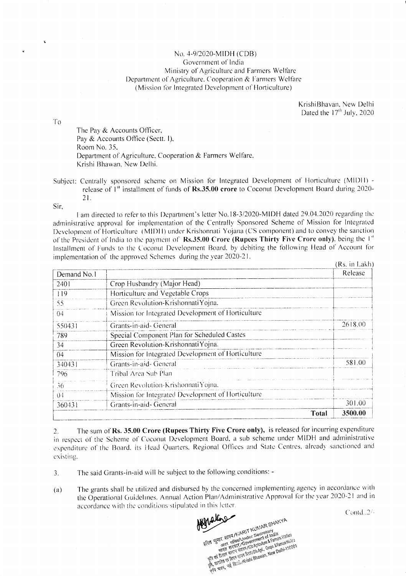## No. 4-9/2020-MIDH (CDB) Government of India Ministry of Agriculture and Farmers Welfare Department of Agriculture, Cooperation & Farmers Welfare (Mission for Integrated Development of Horticulture)

KrishiBhavan, New Delhi Dated the 17<sup>th</sup> July, 2020

 $To$ 

The Pay & Accounts Officer, Pay & Accounts Office (Sectt. I), Room No. 35, Department of Agriculture, Cooperation & Farmers Welfare, Krishi Bhawan, New Delhi.

Subject: Centrally sponsored scheme on Mission for Integrated Development of Horticulture (MIDH) release of 1<sup>st</sup> installment of funds of Rs.35.00 crore to Coconut Development Board during 2020- $21.$ 

Sir.

I am directed to refer to this Department's letter No.18-3/2020-MIDH dated 29.04.2020 regarding the administrative approval for implementation of the Centrally Sponsored Scheme of Mission for Integrated Development of Horticulture (MIDH) under Krishonnati Yojana (CS component) and to convey the sanction of the President of India to the payment of Rs.35.00 Crore (Rupees Thirty Five Crore only), being the 1<sup>st</sup> Installment of Funds to the Coconut Development Board, by debiting the following Head of Account for implementation of the approved Schemes during the year 2020-21.  $(D_0, \ln L_0),$ 

|             |                                                    | (KS. In Lakii) |
|-------------|----------------------------------------------------|----------------|
| Demand No.1 |                                                    | Release        |
| 2401        | Crop Husbandry (Major Head)                        |                |
| 119         | Horticulture and Vegetable Crops                   |                |
| 55          | Green Revolution-Krishonnati Yojna.                |                |
| 04          | Mission for Integrated Development of Horticulture |                |
| 550431      | Grants-in-aid-General                              | 2618.00        |
| 789         | Special Component Plan for Scheduled Castes        |                |
| 34          | Green Revolution-KrishonnatiYojna.                 |                |
| 04          | Mission for Integrated Development of Horticulture |                |
| 340431      | Grants-in-aid-General                              | 581.00         |
| 796         | Tribal Area Sub Plan                               |                |
| 36.         | Green Revolution-KrishonnatiYojna.                 |                |
| -04         | Mission for Integrated Development of Horticulture |                |
| 360431      | Grants-in-aid-General                              | 301.00         |
|             | Total                                              | 3500.00        |

The sum of Rs. 35.00 Crore (Rupees Thirty Five Crore only), is released for incurring expenditure  $2.$ in respect of the Scheme of Coconut Development Board, a sub scheme under MIDH and administrative expenditure of the Board, its Head Quarters, Regional Offices and State Centres, already sanctioned and existing.

- The said Grants-in-aid will be subject to the following conditions: - $3.$
- The grants shall be utilized and disbursed by the concerned implementing agency in accordance with  $(a)$ the Operational Guidelines. Annual Action Plan/Administrative Approval for the year 2020-21 and in accordance with the conditions stipulated in this letter.

Contd., 2/-

ERT STIT STREET AND THE KUMAR SHAKYA The strike strategy of the Secretary of the Strike Water Secretary and Secretary and Secretary of the Secretary of the Secretary of the Secretary of the Secretary of the Secretary of the Secretary of the Secretary of the S THE TERRITOR SERVER PRINT AND POTATIONS & FRIENDS WERDER get, the article of team account the control of the Collision Health (10001)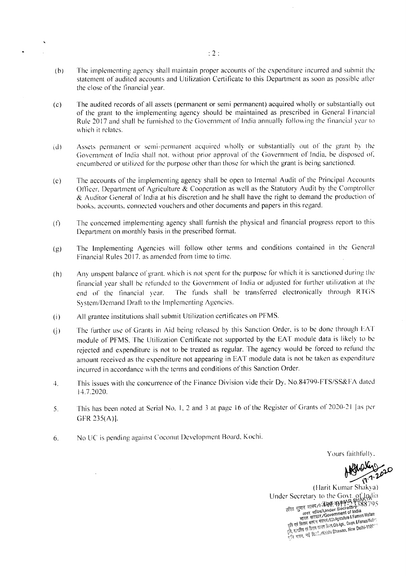- The implementing agency shall maintain proper accounts of the expenditure incurred and submit the  $(b)$ statement of audited accounts and Utilization Certificate to this Department as soon as possible after the close of the financial year.
- The audited records of all assets (permanent or semi permanent) acquired wholly or substantially out  $(c)$ of the grant to the implementing agency should be maintained as prescribed in General Financial Rule 2017 and shall be furnished to the Government of India annually following the financial year to which it relates.
- Assets permanent or semi-permanent acquired wholly or substantially out of the grant by the  $(d)$ Government of India shall not, without prior approval of the Government of India, be disposed of, encumbered or utilized for the purpose other than those for which the grant is being sanctioned.
- The accounts of the implementing agency shall be open to Internal Audit of the Principal Accounts  $(e)$ Officer, Department of Agriculture & Cooperation as well as the Statutory Audit by the Comptroller & Auditor General of India at his discretion and he shall have the right to demand the production of books, accounts, connected vouchers and other documents and papers in this regard.
- The concerned implementing agency shall furnish the physical and financial progress report to this  $(f)$ Department on monthly basis in the prescribed format.
- The Implementing Agencies will follow other terms and conditions contained in the General  $(g)$ Financial Rules 2017, as amended from time to time.
- Any unspent balance of grant, which is not spent for the purpose for which it is sanctioned during the  $(h)$ financial year shall be refunded to the Government of India or adjusted for further utilization at the The funds shall be transferred electronically through RTGS end of the financial year. System/Demand Draft to the Implementing Agencies.
- All grantee institutions shall submit Utilization certificates on PFMS.  $(i)$
- The further use of Grants in Aid being released by this Sanction Order, is to be done through EAT  $(i)$ module of PFMS. The Utilization Certificate not supported by the EAT module data is likely to be rejected and expenditure is not to be treated as regular. The agency would be forced to refund the amount received as the expenditure not appearing in EAT module data is not be taken as expenditure incurred in accordance with the terms and conditions of this Sanction Order.
- This issues with the concurrence of the Finance Division vide their Dy. No.84799-FTS/SS&FA dated 4. 14.7.2020.
- This has been noted at Serial No. 1, 2 and 3 at page 16 of the Register of Grants of 2020-21 [as per 5. GFR 235(A)].
- No UC is pending against Coconut Development Board, Kochi. 6.

Yours faithfully.

(Harit Kumar Shakya) Under Secretary to the Govt. of Dulia<br>
हरित दुनार शाक्य/tidelli ityly Present 2188795<br>
हरित दुनार शाक्य/tidelli ityly Present 2388795<br>
अतर सचित/Under Secretary 388795<br>
अतर सचित/Government of India<br>
अतिकास केल्ला मंत्रण/bl gas are committed with the strategies with successive and committee where the strategies well in the e u w mur a trait mai that women. New Delhi-1100.